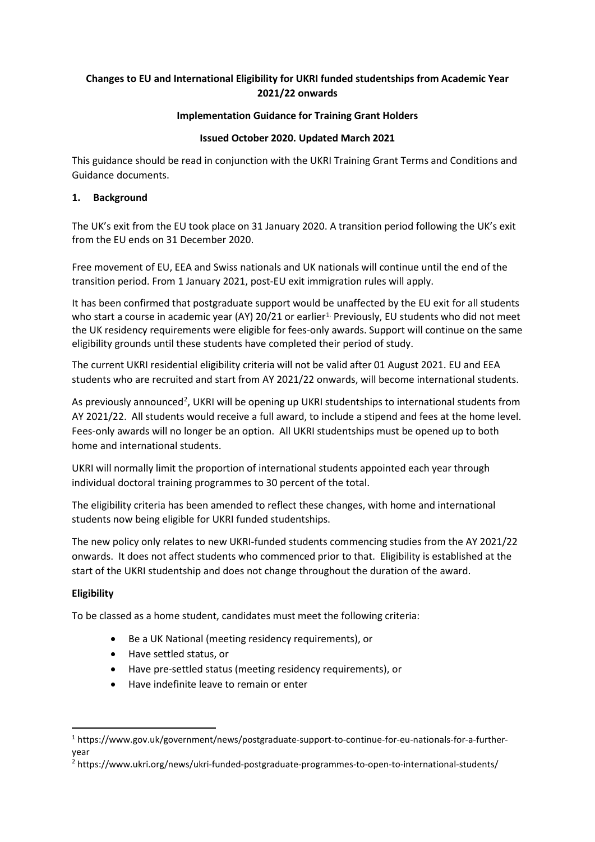# **Changes to EU and International Eligibility for UKRI funded studentships from Academic Year 2021/22 onwards**

## **Implementation Guidance for Training Grant Holders**

## **Issued October 2020. Updated March 2021**

This guidance should be read in conjunction with the UKRI Training Grant Terms and Conditions and Guidance documents.

## **1. Background**

The UK's exit from the EU took place on 31 January 2020. A transition period following the UK's exit from the EU ends on 31 December 2020.

Free movement of EU, EEA and Swiss nationals and UK nationals will continue until the end of the transition period. From 1 January 2021, post-EU exit immigration rules will apply.

It has been confirmed that postgraduate support would be unaffected by the EU exit for all students who start a course in academic year (AY) 20/21 or earlier<sup>1</sup>. Previously, EU students who did not meet the UK residency requirements were eligible for fees-only awards. Support will continue on the same eligibility grounds until these students have completed their period of study.

The current UKRI residential eligibility criteria will not be valid after 01 August 2021. EU and EEA students who are recruited and start from AY 2021/22 onwards, will become international students.

As previously announced<sup>[2](#page-0-1)</sup>, UKRI will be opening up UKRI studentships to international students from AY 2021/22. All students would receive a full award, to include a stipend and fees at the home level. Fees-only awards will no longer be an option. All UKRI studentships must be opened up to both home and international students.

UKRI will normally limit the proportion of international students appointed each year through individual doctoral training programmes to 30 percent of the total.

The eligibility criteria has been amended to reflect these changes, with home and international students now being eligible for UKRI funded studentships.

The new policy only relates to new UKRI-funded students commencing studies from the AY 2021/22 onwards. It does not affect students who commenced prior to that. Eligibility is established at the start of the UKRI studentship and does not change throughout the duration of the award.

## **Eligibility**

To be classed as a home student, candidates must meet the following criteria:

- Be a UK National (meeting residency requirements), or
- Have settled status, or
- Have pre-settled status (meeting residency requirements), or
- Have indefinite leave to remain or enter

<span id="page-0-0"></span><sup>1</sup> https://www.gov.uk/government/news/postgraduate-support-to-continue-for-eu-nationals-for-a-furtheryear

<span id="page-0-1"></span><sup>2</sup> https://www.ukri.org/news/ukri-funded-postgraduate-programmes-to-open-to-international-students/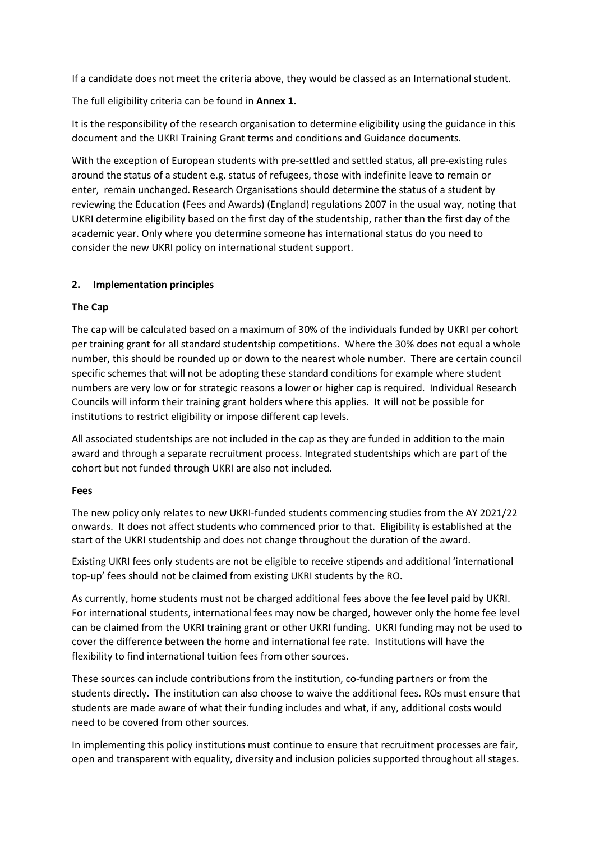If a candidate does not meet the criteria above, they would be classed as an International student.

The full eligibility criteria can be found in **Annex 1.**

It is the responsibility of the research organisation to determine eligibility using the guidance in this document and the UKRI Training Grant terms and conditions and Guidance documents.

With the exception of European students with pre-settled and settled status, all pre-existing rules around the status of a student e.g. status of refugees, those with indefinite leave to remain or enter, remain unchanged. Research Organisations should determine the status of a student by reviewing the Education (Fees and Awards) (England) regulations 2007 in the usual way, noting that UKRI determine eligibility based on the first day of the studentship, rather than the first day of the academic year. Only where you determine someone has international status do you need to consider the new UKRI policy on international student support.

## **2. Implementation principles**

## **The Cap**

The cap will be calculated based on a maximum of 30% of the individuals funded by UKRI per cohort per training grant for all standard studentship competitions. Where the 30% does not equal a whole number, this should be rounded up or down to the nearest whole number. There are certain council specific schemes that will not be adopting these standard conditions for example where student numbers are very low or for strategic reasons a lower or higher cap is required. Individual Research Councils will inform their training grant holders where this applies. It will not be possible for institutions to restrict eligibility or impose different cap levels.

All associated studentships are not included in the cap as they are funded in addition to the main award and through a separate recruitment process. Integrated studentships which are part of the cohort but not funded through UKRI are also not included.

#### **Fees**

The new policy only relates to new UKRI-funded students commencing studies from the AY 2021/22 onwards. It does not affect students who commenced prior to that. Eligibility is established at the start of the UKRI studentship and does not change throughout the duration of the award.

Existing UKRI fees only students are not be eligible to receive stipends and additional 'international top-up' fees should not be claimed from existing UKRI students by the RO**.** 

As currently, home students must not be charged additional fees above the fee level paid by UKRI. For international students, international fees may now be charged, however only the home fee level can be claimed from the UKRI training grant or other UKRI funding. UKRI funding may not be used to cover the difference between the home and international fee rate. Institutions will have the flexibility to find international tuition fees from other sources.

These sources can include contributions from the institution, co-funding partners or from the students directly. The institution can also choose to waive the additional fees. ROs must ensure that students are made aware of what their funding includes and what, if any, additional costs would need to be covered from other sources.

In implementing this policy institutions must continue to ensure that recruitment processes are fair, open and transparent with equality, diversity and inclusion policies supported throughout all stages.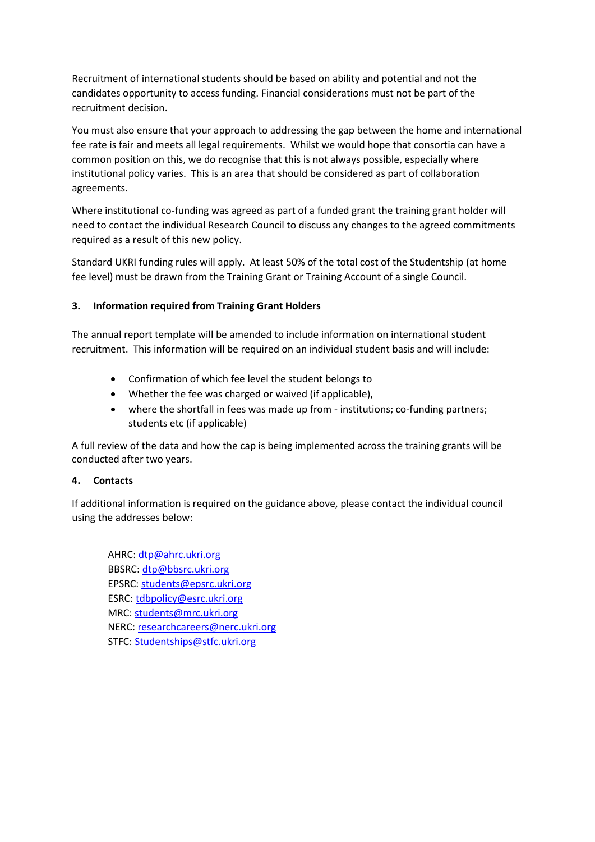Recruitment of international students should be based on ability and potential and not the candidates opportunity to access funding. Financial considerations must not be part of the recruitment decision.

You must also ensure that your approach to addressing the gap between the home and international fee rate is fair and meets all legal requirements. Whilst we would hope that consortia can have a common position on this, we do recognise that this is not always possible, especially where institutional policy varies. This is an area that should be considered as part of collaboration agreements.

Where institutional co-funding was agreed as part of a funded grant the training grant holder will need to contact the individual Research Council to discuss any changes to the agreed commitments required as a result of this new policy.

Standard UKRI funding rules will apply. At least 50% of the total cost of the Studentship (at home fee level) must be drawn from the Training Grant or Training Account of a single Council.

## **3. Information required from Training Grant Holders**

The annual report template will be amended to include information on international student recruitment. This information will be required on an individual student basis and will include:

- Confirmation of which fee level the student belongs to
- Whether the fee was charged or waived (if applicable),
- where the shortfall in fees was made up from institutions; co-funding partners; students etc (if applicable)

A full review of the data and how the cap is being implemented across the training grants will be conducted after two years.

#### **4. Contacts**

If additional information is required on the guidance above, please contact the individual council using the addresses below:

AHRC[: dtp@ahrc.ukri.org](mailto:dtp@ahrc.ukri.org) BBSRC: [dtp@bbsrc.ukri.org](mailto:dtp@bbsrc.ukri.org) EPSRC: [students@epsrc.ukri.org](mailto:students@epsrc.ukri.org) ESRC[: tdbpolicy@esrc.ukri.org](mailto:tdbpolicy@esrc.ukri.org) MRC[: students@mrc.ukri.org](mailto:students@mrc.ukri.org) NERC[: researchcareers@nerc.ukri.org](mailto:researchcareers@nerc.ukri.org) STFC: [Studentships@stfc.ukri.org](mailto:Studentships@stfc.ukri.org)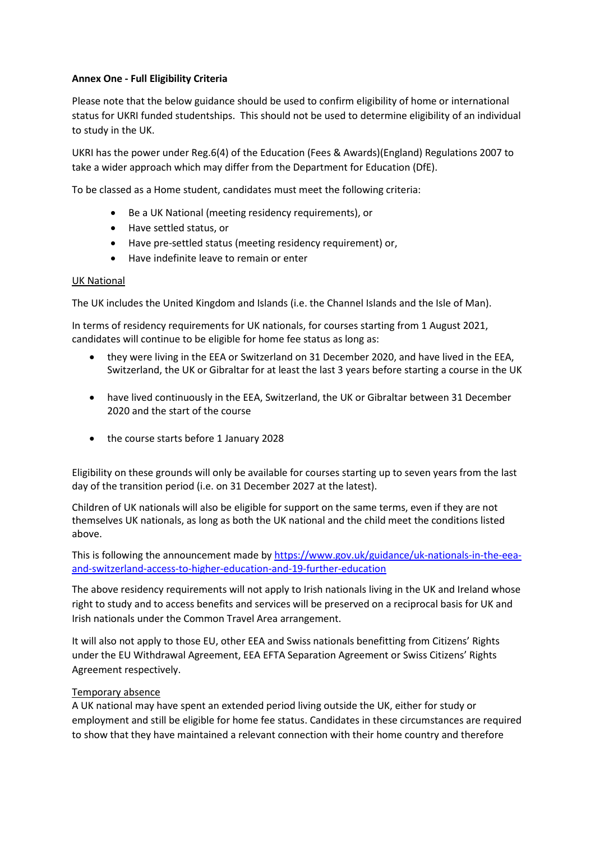## **Annex One - Full Eligibility Criteria**

Please note that the below guidance should be used to confirm eligibility of home or international status for UKRI funded studentships. This should not be used to determine eligibility of an individual to study in the UK.

UKRI has the power under Reg.6(4) of the Education (Fees & Awards)(England) Regulations 2007 to take a wider approach which may differ from the Department for Education (DfE).

To be classed as a Home student, candidates must meet the following criteria:

- Be a UK National (meeting residency requirements), or
- Have settled status, or
- Have pre-settled status (meeting residency requirement) or,
- Have indefinite leave to remain or enter

#### UK National

The UK includes the United Kingdom and Islands (i.e. the Channel Islands and the Isle of Man).

In terms of residency requirements for UK nationals, for courses starting from 1 August 2021, candidates will continue to be eligible for home fee status as long as:

- they were living in the EEA or Switzerland on 31 December 2020, and have lived in the EEA, Switzerland, the UK or Gibraltar for at least the last 3 years before starting a course in the UK
- have lived continuously in the EEA, Switzerland, the UK or Gibraltar between 31 December 2020 and the start of the course
- the course starts before 1 January 2028

Eligibility on these grounds will only be available for courses starting up to seven years from the last day of the transition period (i.e. on 31 December 2027 at the latest).

Children of UK nationals will also be eligible for support on the same terms, even if they are not themselves UK nationals, as long as both the UK national and the child meet the conditions listed above.

This is following the announcement made by [https://www.gov.uk/guidance/uk-nationals-in-the-eea](https://www.gov.uk/guidance/uk-nationals-in-the-eea-and-switzerland-access-to-higher-education-and-19-further-education)[and-switzerland-access-to-higher-education-and-19-further-education](https://www.gov.uk/guidance/uk-nationals-in-the-eea-and-switzerland-access-to-higher-education-and-19-further-education)

The above residency requirements will not apply to Irish nationals living in the UK and Ireland whose right to study and to access benefits and services will be preserved on a reciprocal basis for UK and Irish nationals under the Common Travel Area arrangement.

It will also not apply to those EU, other EEA and Swiss nationals benefitting from Citizens' Rights under the EU Withdrawal Agreement, EEA EFTA Separation Agreement or Swiss Citizens' Rights Agreement respectively.

#### Temporary absence

A UK national may have spent an extended period living outside the UK, either for study or employment and still be eligible for home fee status. Candidates in these circumstances are required to show that they have maintained a relevant connection with their home country and therefore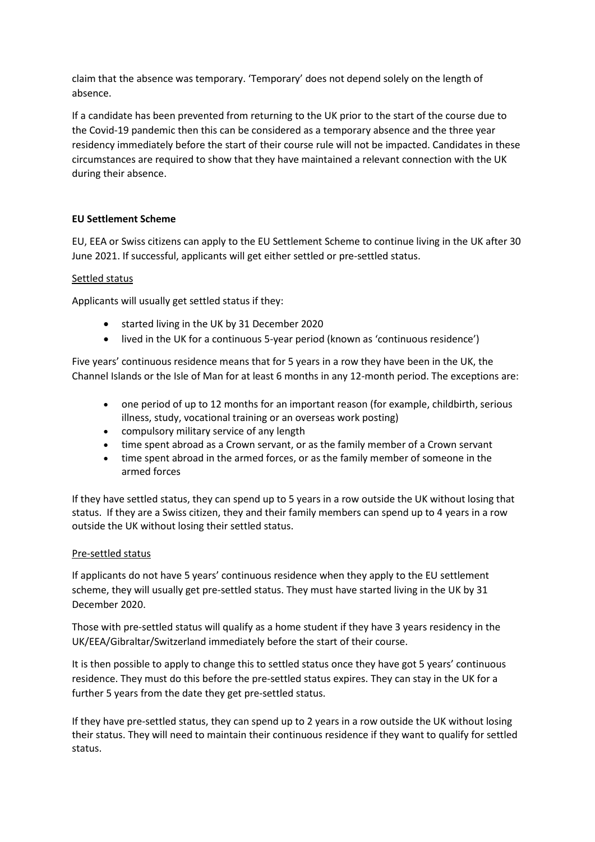claim that the absence was temporary. 'Temporary' does not depend solely on the length of absence.

If a candidate has been prevented from returning to the UK prior to the start of the course due to the Covid-19 pandemic then this can be considered as a temporary absence and the three year residency immediately before the start of their course rule will not be impacted. Candidates in these circumstances are required to show that they have maintained a relevant connection with the UK during their absence.

## **EU Settlement Scheme**

EU, EEA or Swiss citizens can apply to the EU Settlement Scheme to continue living in the UK after 30 June 2021. If successful, applicants will get either settled or pre-settled status.

## Settled status

Applicants will usually get settled status if they:

- started living in the UK by 31 December 2020
- lived in the UK for a continuous 5-year period (known as 'continuous residence')

Five years' continuous residence means that for 5 years in a row they have been in the UK, the Channel Islands or the Isle of Man for at least 6 months in any 12-month period. The exceptions are:

- one period of up to 12 months for an important reason (for example, childbirth, serious illness, study, vocational training or an overseas work posting)
- compulsory military service of any length
- time spent abroad as a Crown servant, or as the family member of a Crown servant
- time spent abroad in the armed forces, or as the family member of someone in the armed forces

If they have settled status, they can spend up to 5 years in a row outside the UK without losing that status. If they are a Swiss citizen, they and their family members can spend up to 4 years in a row outside the UK without losing their settled status.

#### Pre-settled status

If applicants do not have 5 years' continuous residence when they apply to the EU settlement scheme, they will usually get pre-settled status. They must have started living in the UK by 31 December 2020.

Those with pre-settled status will qualify as a home student if they have 3 years residency in the UK/EEA/Gibraltar/Switzerland immediately before the start of their course.

It is then possible to apply to change this to settled status once they have got 5 years' continuous residence. They must do this before the pre-settled status expires. They can stay in the UK for a further 5 years from the date they get pre-settled status.

If they have pre-settled status, they can spend up to 2 years in a row outside the UK without losing their status. They will need to maintain their continuous residence if they want to qualify for settled status.